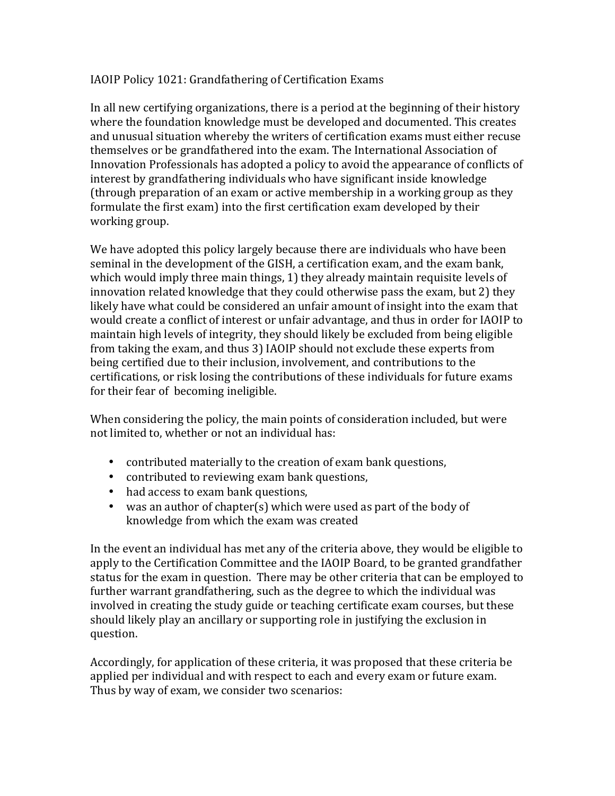## IAOIP Policy 1021: Grandfathering of Certification Exams

In all new certifying organizations, there is a period at the beginning of their history where the foundation knowledge must be developed and documented. This creates and unusual situation whereby the writers of certification exams must either recuse themselves or be grandfathered into the exam. The International Association of Innovation Professionals has adopted a policy to avoid the appearance of conflicts of interest by grandfathering individuals who have significant inside knowledge (through preparation of an exam or active membership in a working group as they formulate the first exam) into the first certification exam developed by their working group.

We have adopted this policy largely because there are individuals who have been seminal in the development of the GISH, a certification exam, and the exam bank, which would imply three main things, 1) they already maintain requisite levels of innovation related knowledge that they could otherwise pass the exam, but 2) they likely have what could be considered an unfair amount of insight into the exam that would create a conflict of interest or unfair advantage, and thus in order for IAOIP to maintain high levels of integrity, they should likely be excluded from being eligible from taking the exam, and thus 3) IAOIP should not exclude these experts from being certified due to their inclusion, involvement, and contributions to the certifications, or risk losing the contributions of these individuals for future exams for their fear of becoming ineligible.

When considering the policy, the main points of consideration included, but were not limited to, whether or not an individual has:

- contributed materially to the creation of exam bank questions,
- contributed to reviewing exam bank questions,
- had access to exam bank questions,
- was an author of chapter(s) which were used as part of the body of knowledge from which the exam was created

In the event an individual has met any of the criteria above, they would be eligible to apply to the Certification Committee and the IAOIP Board, to be granted grandfather status for the exam in question. There may be other criteria that can be employed to further warrant grandfathering, such as the degree to which the individual was involved in creating the study guide or teaching certificate exam courses, but these should likely play an ancillary or supporting role in justifying the exclusion in question.

Accordingly, for application of these criteria, it was proposed that these criteria be applied per individual and with respect to each and every exam or future exam. Thus by way of exam, we consider two scenarios: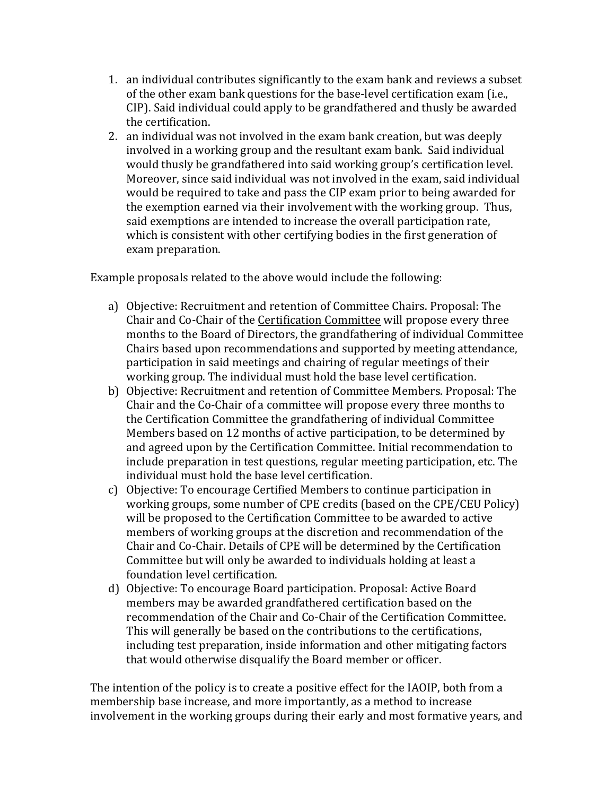- 1. an individual contributes significantly to the exam bank and reviews a subset of the other exam bank questions for the base-level certification exam (i.e., CIP). Said individual could apply to be grandfathered and thusly be awarded the certification.
- 2. an individual was not involved in the exam bank creation, but was deeply involved in a working group and the resultant exam bank. Said individual would thusly be grandfathered into said working group's certification level. Moreover, since said individual was not involved in the exam, said individual would be required to take and pass the CIP exam prior to being awarded for the exemption earned via their involvement with the working group. Thus, said exemptions are intended to increase the overall participation rate, which is consistent with other certifying bodies in the first generation of exam preparation.

Example proposals related to the above would include the following:

- a) Objective: Recruitment and retention of Committee Chairs. Proposal: The Chair and Co-Chair of the Certification Committee will propose every three months to the Board of Directors, the grandfathering of individual Committee Chairs based upon recommendations and supported by meeting attendance, participation in said meetings and chairing of regular meetings of their working group. The individual must hold the base level certification.
- b) Objective: Recruitment and retention of Committee Members. Proposal: The Chair and the Co-Chair of a committee will propose every three months to the Certification Committee the grandfathering of individual Committee Members based on 12 months of active participation, to be determined by and agreed upon by the Certification Committee. Initial recommendation to include preparation in test questions, regular meeting participation, etc. The individual must hold the base level certification.
- c) Objective: To encourage Certified Members to continue participation in working groups, some number of CPE credits (based on the CPE/CEU Policy) will be proposed to the Certification Committee to be awarded to active members of working groups at the discretion and recommendation of the Chair and Co-Chair. Details of CPE will be determined by the Certification Committee but will only be awarded to individuals holding at least a foundation level certification.
- d) Objective: To encourage Board participation. Proposal: Active Board members may be awarded grandfathered certification based on the recommendation of the Chair and Co-Chair of the Certification Committee. This will generally be based on the contributions to the certifications, including test preparation, inside information and other mitigating factors that would otherwise disqualify the Board member or officer.

The intention of the policy is to create a positive effect for the IAOIP, both from a membership base increase, and more importantly, as a method to increase involvement in the working groups during their early and most formative years, and